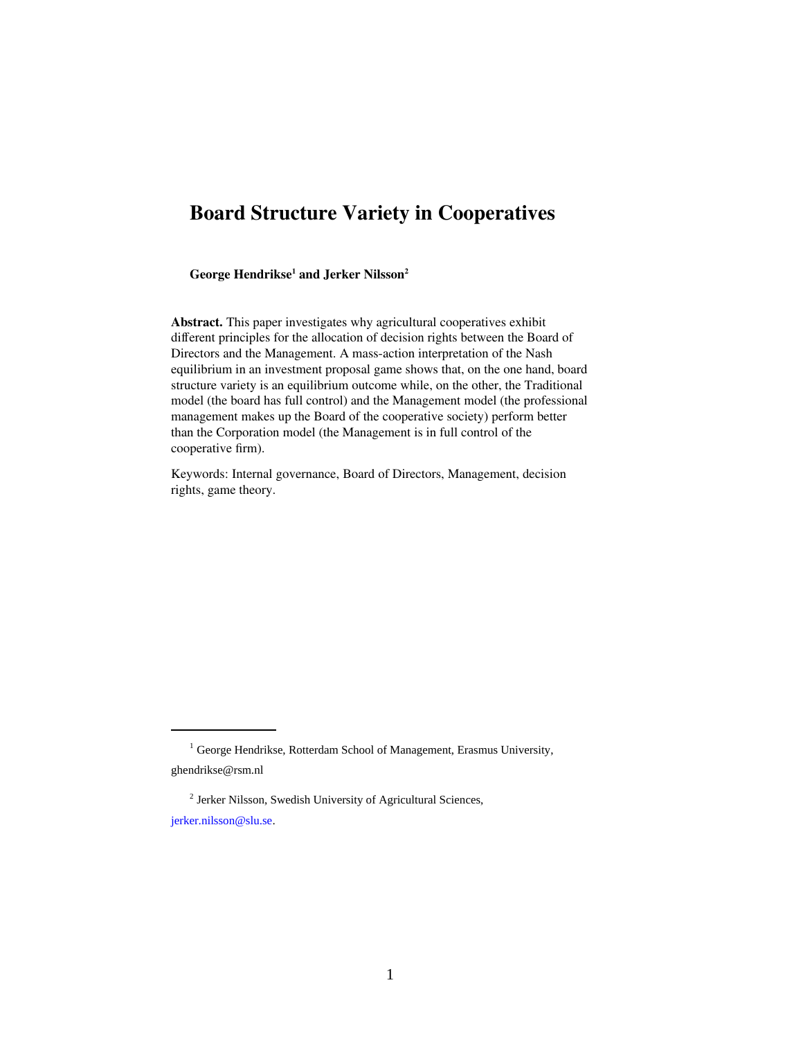# **Board Structure Variety in Cooperatives**

<span id="page-0-2"></span><span id="page-0-0"></span>**George Hendrikse[1](#page-0-1) and Jerker Nilsson[2](#page-0-3)**

**Abstract.** This paper investigates why agricultural cooperatives exhibit different principles for the allocation of decision rights between the Board of Directors and the Management. A mass-action interpretation of the Nash equilibrium in an investment proposal game shows that, on the one hand, board structure variety is an equilibrium outcome while, on the other, the Traditional model (the board has full control) and the Management model (the professional management makes up the Board of the cooperative society) perform better than the Corporation model (the Management is in full control of the cooperative firm).

Keywords: Internal governance, Board of Directors, Management, decision rights, game theory.

<span id="page-0-3"></span><sup>[2](#page-0-2)</sup> Jerker Nilsson, Swedish University of Agricultural Sciences, [jerker.nilsson@slu.se.](mailto:jerker.nilsson@slu.se)

<span id="page-0-1"></span><sup>&</sup>lt;sup>[1](#page-0-0)</sup> George Hendrikse, Rotterdam School of Management, Erasmus University, [ghendrikse@rsm.nl](mailto:ghendrikse@fbk.eur.nl)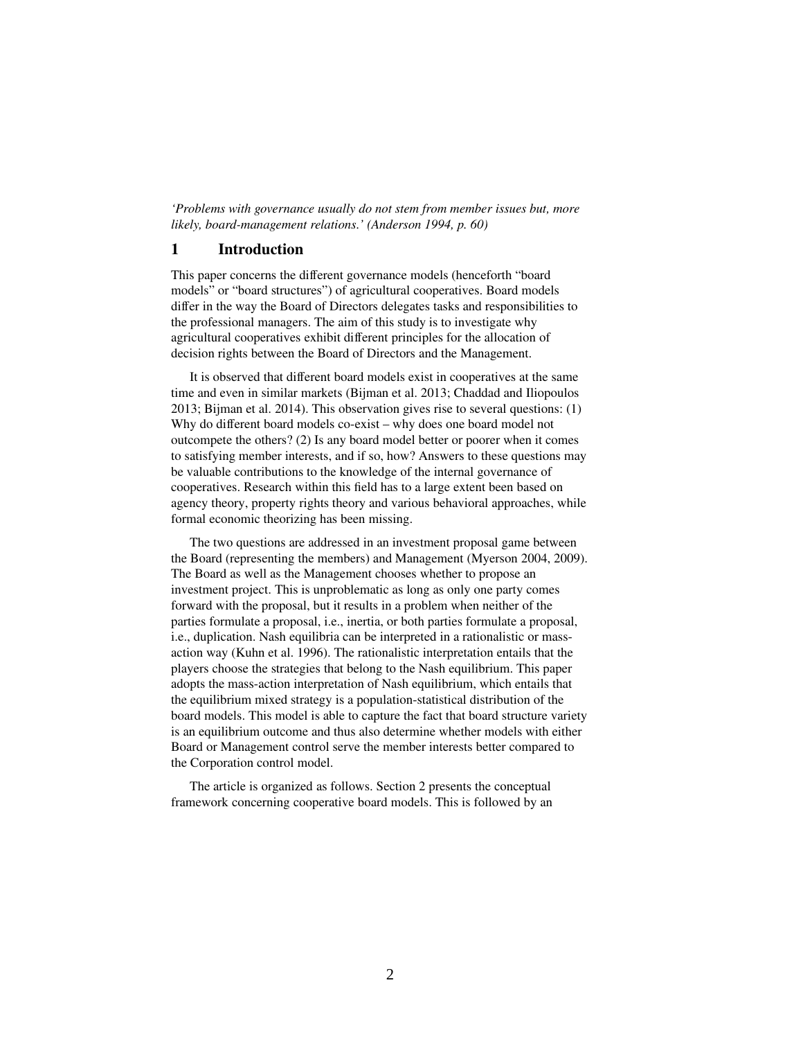*'Problems with governance usually do not stem from member issues but, more likely, board-management relations.' (Anderson 1994, p. 60)*

#### **1 Introduction**

This paper concerns the different governance models (henceforth "board models" or "board structures") of agricultural cooperatives. Board models differ in the way the Board of Directors delegates tasks and responsibilities to the professional managers. The aim of this study is to investigate why agricultural cooperatives exhibit different principles for the allocation of decision rights between the Board of Directors and the Management.

It is observed that different board models exist in cooperatives at the same time and even in similar markets (Bijman et al. 2013; Chaddad and Iliopoulos 2013; Bijman et al. 2014). This observation gives rise to several questions: (1) Why do different board models co-exist – why does one board model not outcompete the others? (2) Is any board model better or poorer when it comes to satisfying member interests, and if so, how? Answers to these questions may be valuable contributions to the knowledge of the internal governance of cooperatives. Research within this field has to a large extent been based on agency theory, property rights theory and various behavioral approaches, while formal economic theorizing has been missing.

The two questions are addressed in an investment proposal game between the Board (representing the members) and Management (Myerson 2004, 2009). The Board as well as the Management chooses whether to propose an investment project. This is unproblematic as long as only one party comes forward with the proposal, but it results in a problem when neither of the parties formulate a proposal, i.e., inertia, or both parties formulate a proposal, i.e., duplication. Nash equilibria can be interpreted in a rationalistic or massaction way (Kuhn et al. 1996). The rationalistic interpretation entails that the players choose the strategies that belong to the Nash equilibrium. This paper adopts the mass-action interpretation of Nash equilibrium, which entails that the equilibrium mixed strategy is a population-statistical distribution of the board models. This model is able to capture the fact that board structure variety is an equilibrium outcome and thus also determine whether models with either Board or Management control serve the member interests better compared to the Corporation control model.

The article is organized as follows. Section 2 presents the conceptual framework concerning cooperative board models. This is followed by an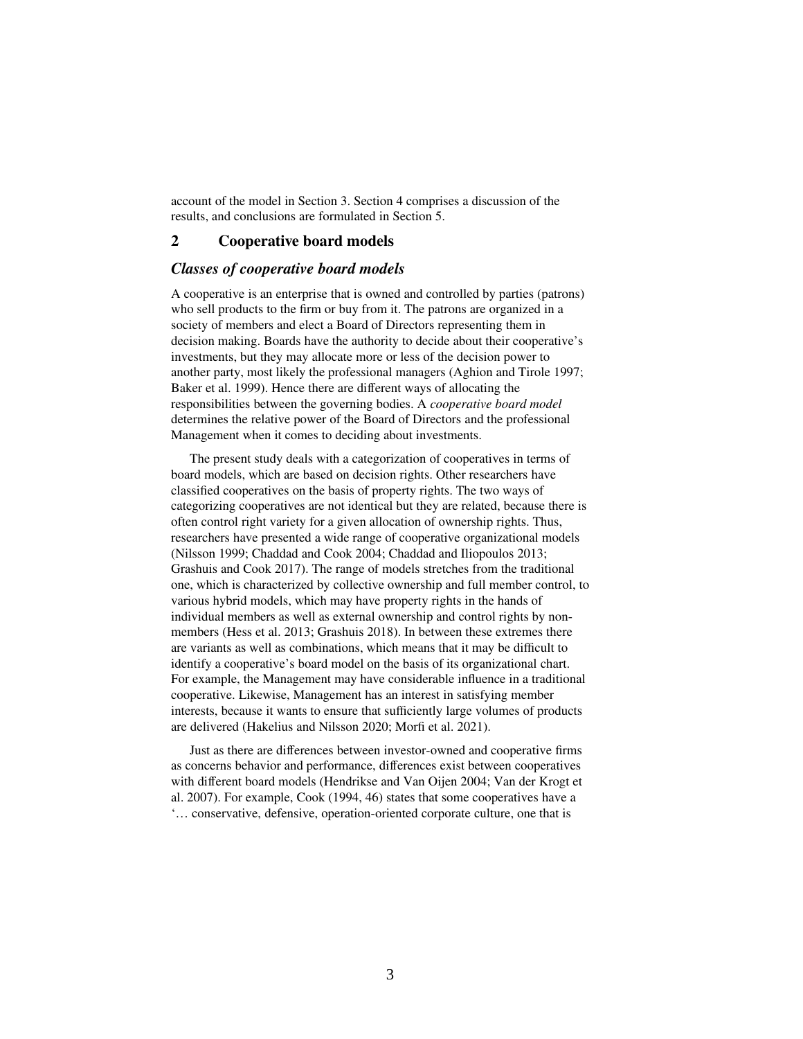account of the model in Section 3. Section 4 comprises a discussion of the results, and conclusions are formulated in Section 5.

#### **2 Cooperative board models**

#### *Classes of cooperative board models*

A cooperative is an enterprise that is owned and controlled by parties (patrons) who sell products to the firm or buy from it. The patrons are organized in a society of members and elect a Board of Directors representing them in decision making. Boards have the authority to decide about their cooperative's investments, but they may allocate more or less of the decision power to another party, most likely the professional managers (Aghion and Tirole 1997; Baker et al. 1999). Hence there are different ways of allocating the responsibilities between the governing bodies. A *cooperative board model* determines the relative power of the Board of Directors and the professional Management when it comes to deciding about investments.

The present study deals with a categorization of cooperatives in terms of board models, which are based on decision rights. Other researchers have classified cooperatives on the basis of property rights. The two ways of categorizing cooperatives are not identical but they are related, because there is often control right variety for a given allocation of ownership rights. Thus, researchers have presented a wide range of cooperative organizational models (Nilsson 1999; Chaddad and Cook 2004; Chaddad and Iliopoulos 2013; Grashuis and Cook 2017). The range of models stretches from the traditional one, which is characterized by collective ownership and full member control, to various hybrid models, which may have property rights in the hands of individual members as well as external ownership and control rights by nonmembers (Hess et al. 2013; Grashuis 2018). In between these extremes there are variants as well as combinations, which means that it may be difficult to identify a cooperative's board model on the basis of its organizational chart. For example, the Management may have considerable influence in a traditional cooperative. Likewise, Management has an interest in satisfying member interests, because it wants to ensure that sufficiently large volumes of products are delivered (Hakelius and Nilsson 2020; Morfi et al. 2021).

Just as there are differences between investor-owned and cooperative firms as concerns behavior and performance, differences exist between cooperatives with different board models (Hendrikse and Van Oijen 2004; Van der Krogt et al. 2007). For example, Cook (1994, 46) states that some cooperatives have a '… conservative, defensive, operation-oriented corporate culture, one that is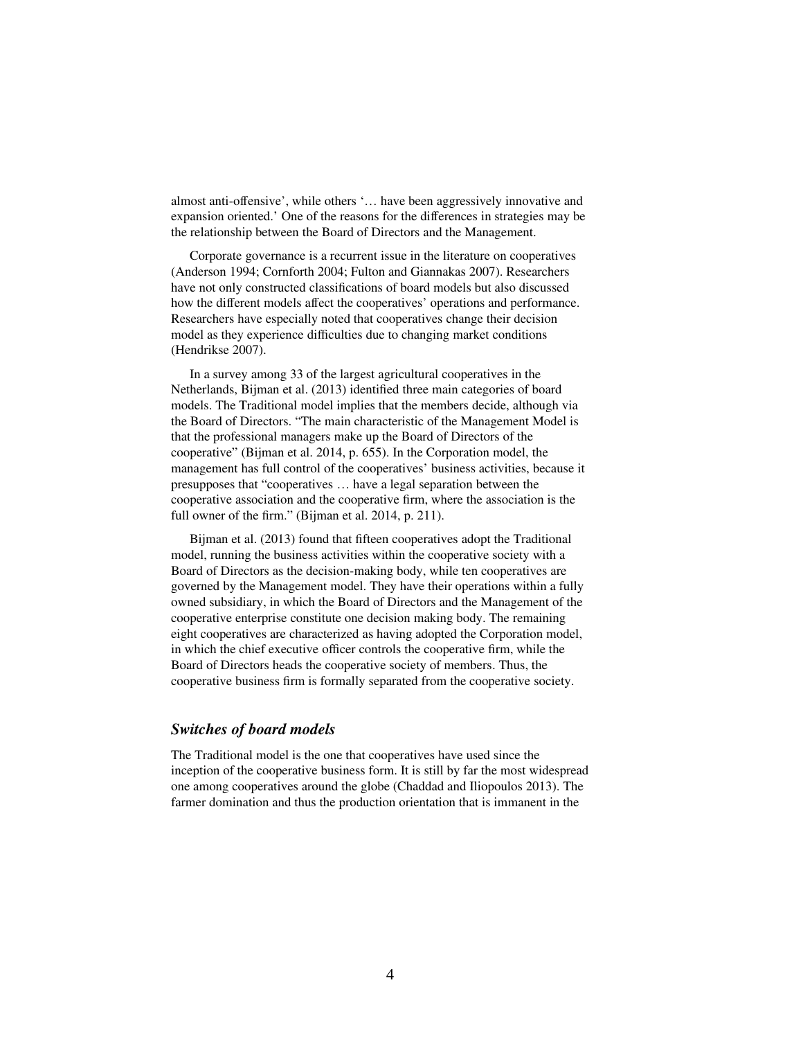almost anti-offensive', while others '… have been aggressively innovative and expansion oriented.' One of the reasons for the differences in strategies may be the relationship between the Board of Directors and the Management.

Corporate governance is a recurrent issue in the literature on cooperatives (Anderson 1994; Cornforth 2004; Fulton and Giannakas 2007). Researchers have not only constructed classifications of board models but also discussed how the different models affect the cooperatives' operations and performance. Researchers have especially noted that cooperatives change their decision model as they experience difficulties due to changing market conditions (Hendrikse 2007).

In a survey among 33 of the largest agricultural cooperatives in the Netherlands, Bijman et al. (2013) identified three main categories of board models. The Traditional model implies that the members decide, although via the Board of Directors. "The main characteristic of the Management Model is that the professional managers make up the Board of Directors of the cooperative" (Bijman et al. 2014, p. 655). In the Corporation model, the management has full control of the cooperatives' business activities, because it presupposes that "cooperatives … have a legal separation between the cooperative association and the cooperative firm, where the association is the full owner of the firm." (Bijman et al. 2014, p. 211).

Bijman et al. (2013) found that fifteen cooperatives adopt the Traditional model, running the business activities within the cooperative society with a Board of Directors as the decision-making body, while ten cooperatives are governed by the Management model. They have their operations within a fully owned subsidiary, in which the Board of Directors and the Management of the cooperative enterprise constitute one decision making body. The remaining eight cooperatives are characterized as having adopted the Corporation model, in which the chief executive officer controls the cooperative firm, while the Board of Directors heads the cooperative society of members. Thus, the cooperative business firm is formally separated from the cooperative society.

### *Switches of board models*

The Traditional model is the one that cooperatives have used since the inception of the cooperative business form. It is still by far the most widespread one among cooperatives around the globe (Chaddad and Iliopoulos 2013). The farmer domination and thus the production orientation that is immanent in the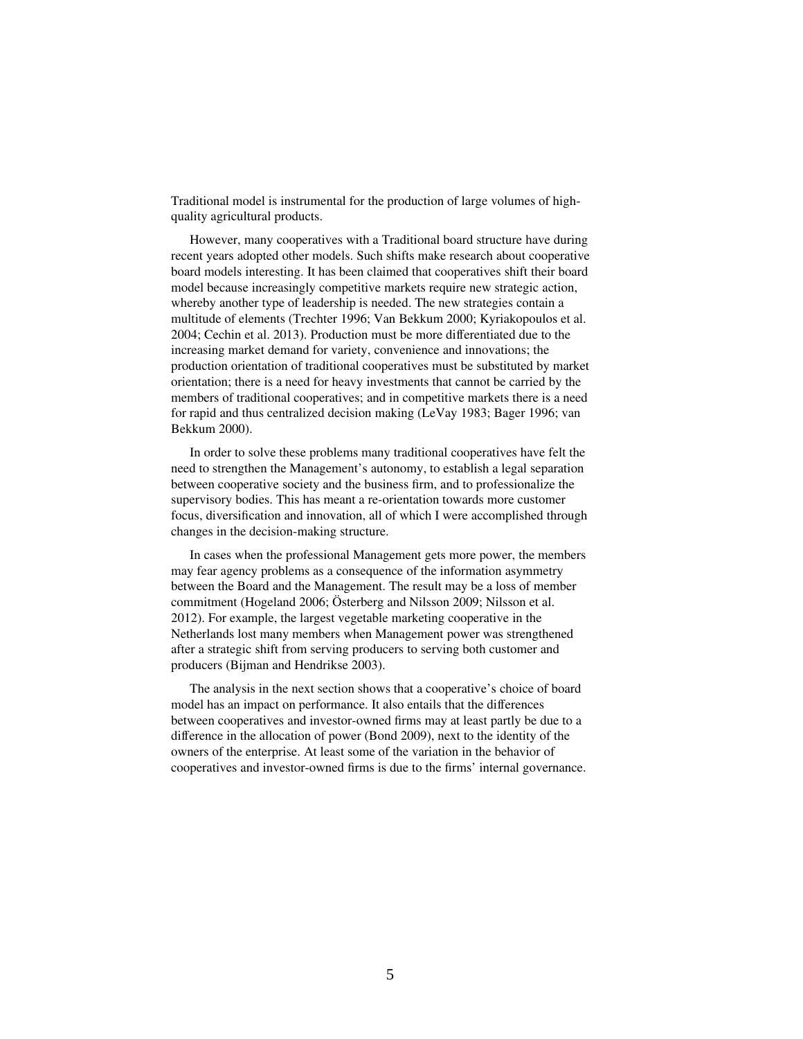Traditional model is instrumental for the production of large volumes of highquality agricultural products.

However, many cooperatives with a Traditional board structure have during recent years adopted other models. Such shifts make research about cooperative board models interesting. It has been claimed that cooperatives shift their board model because increasingly competitive markets require new strategic action, whereby another type of leadership is needed. The new strategies contain a multitude of elements (Trechter 1996; Van Bekkum 2000; Kyriakopoulos et al. 2004; Cechin et al. 2013). Production must be more differentiated due to the increasing market demand for variety, convenience and innovations; the production orientation of traditional cooperatives must be substituted by market orientation; there is a need for heavy investments that cannot be carried by the members of traditional cooperatives; and in competitive markets there is a need for rapid and thus centralized decision making (LeVay 1983; Bager 1996; van Bekkum 2000).

In order to solve these problems many traditional cooperatives have felt the need to strengthen the Management's autonomy, to establish a legal separation between cooperative society and the business firm, and to professionalize the supervisory bodies. This has meant a re-orientation towards more customer focus, diversification and innovation, all of which I were accomplished through changes in the decision-making structure.

In cases when the professional Management gets more power, the members may fear agency problems as a consequence of the information asymmetry between the Board and the Management. The result may be a loss of member commitment (Hogeland 2006; Österberg and Nilsson 2009; Nilsson et al. 2012). For example, the largest vegetable marketing cooperative in the Netherlands lost many members when Management power was strengthened after a strategic shift from serving producers to serving both customer and producers (Bijman and Hendrikse 2003).

The analysis in the next section shows that a cooperative's choice of board model has an impact on performance. It also entails that the differences between cooperatives and investor-owned firms may at least partly be due to a difference in the allocation of power (Bond 2009), next to the identity of the owners of the enterprise. At least some of the variation in the behavior of cooperatives and investor-owned firms is due to the firms' internal governance.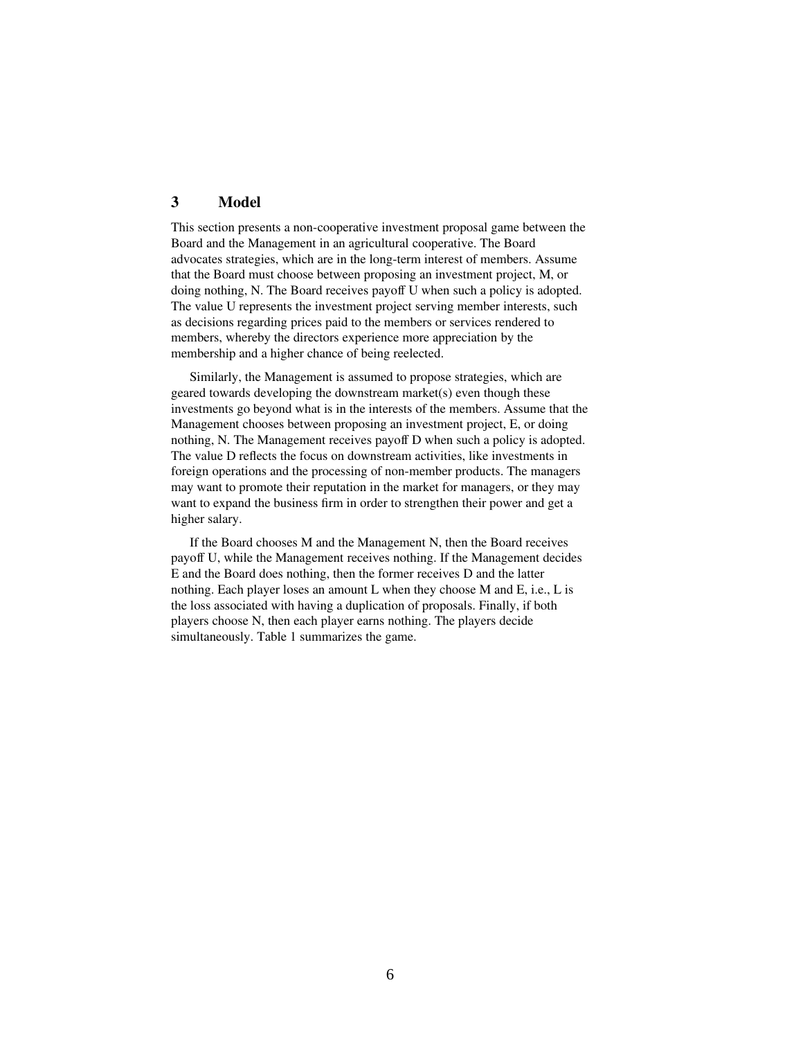# **3 Model**

This section presents a non-cooperative investment proposal game between the Board and the Management in an agricultural cooperative. The Board advocates strategies, which are in the long-term interest of members. Assume that the Board must choose between proposing an investment project, M, or doing nothing, N. The Board receives payoff U when such a policy is adopted. The value U represents the investment project serving member interests, such as decisions regarding prices paid to the members or services rendered to members, whereby the directors experience more appreciation by the membership and a higher chance of being reelected.

Similarly, the Management is assumed to propose strategies, which are geared towards developing the downstream market(s) even though these investments go beyond what is in the interests of the members. Assume that the Management chooses between proposing an investment project, E, or doing nothing, N. The Management receives payoff D when such a policy is adopted. The value D reflects the focus on downstream activities, like investments in foreign operations and the processing of non-member products. The managers may want to promote their reputation in the market for managers, or they may want to expand the business firm in order to strengthen their power and get a higher salary.

If the Board chooses M and the Management N, then the Board receives payoff U, while the Management receives nothing. If the Management decides E and the Board does nothing, then the former receives D and the latter nothing. Each player loses an amount L when they choose M and E, i.e., L is the loss associated with having a duplication of proposals. Finally, if both players choose N, then each player earns nothing. The players decide simultaneously. Table 1 summarizes the game.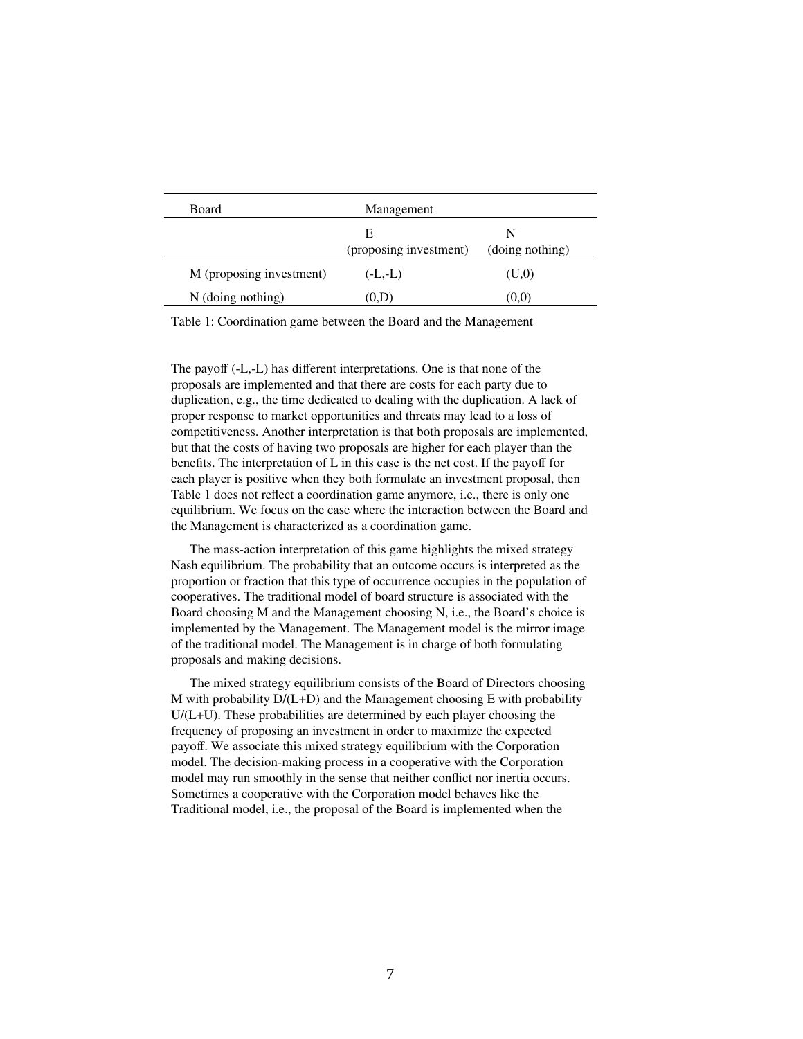| <b>Board</b>             | Management             |                 |
|--------------------------|------------------------|-----------------|
|                          | E                      | N               |
|                          | (proposing investment) | (doing nothing) |
| M (proposing investment) | $(-L,-L)$              | (U,0)           |
| $N$ (doing nothing)      | (0,D)                  | (0,0)           |

Table 1: Coordination game between the Board and the Management

The payoff (-L,-L) has different interpretations. One is that none of the proposals are implemented and that there are costs for each party due to duplication, e.g., the time dedicated to dealing with the duplication. A lack of proper response to market opportunities and threats may lead to a loss of competitiveness. Another interpretation is that both proposals are implemented, but that the costs of having two proposals are higher for each player than the benefits. The interpretation of L in this case is the net cost. If the payoff for each player is positive when they both formulate an investment proposal, then Table 1 does not reflect a coordination game anymore, i.e., there is only one equilibrium. We focus on the case where the interaction between the Board and the Management is characterized as a coordination game.

The mass-action interpretation of this game highlights the mixed strategy Nash equilibrium. The probability that an outcome occurs is interpreted as the proportion or fraction that this type of occurrence occupies in the population of cooperatives. The traditional model of board structure is associated with the Board choosing M and the Management choosing N, i.e., the Board's choice is implemented by the Management. The Management model is the mirror image of the traditional model. The Management is in charge of both formulating proposals and making decisions.

The mixed strategy equilibrium consists of the Board of Directors choosing M with probability  $D/(L+D)$  and the Management choosing E with probability U/(L+U). These probabilities are determined by each player choosing the frequency of proposing an investment in order to maximize the expected payoff. We associate this mixed strategy equilibrium with the Corporation model. The decision-making process in a cooperative with the Corporation model may run smoothly in the sense that neither conflict nor inertia occurs. Sometimes a cooperative with the Corporation model behaves like the Traditional model, i.e., the proposal of the Board is implemented when the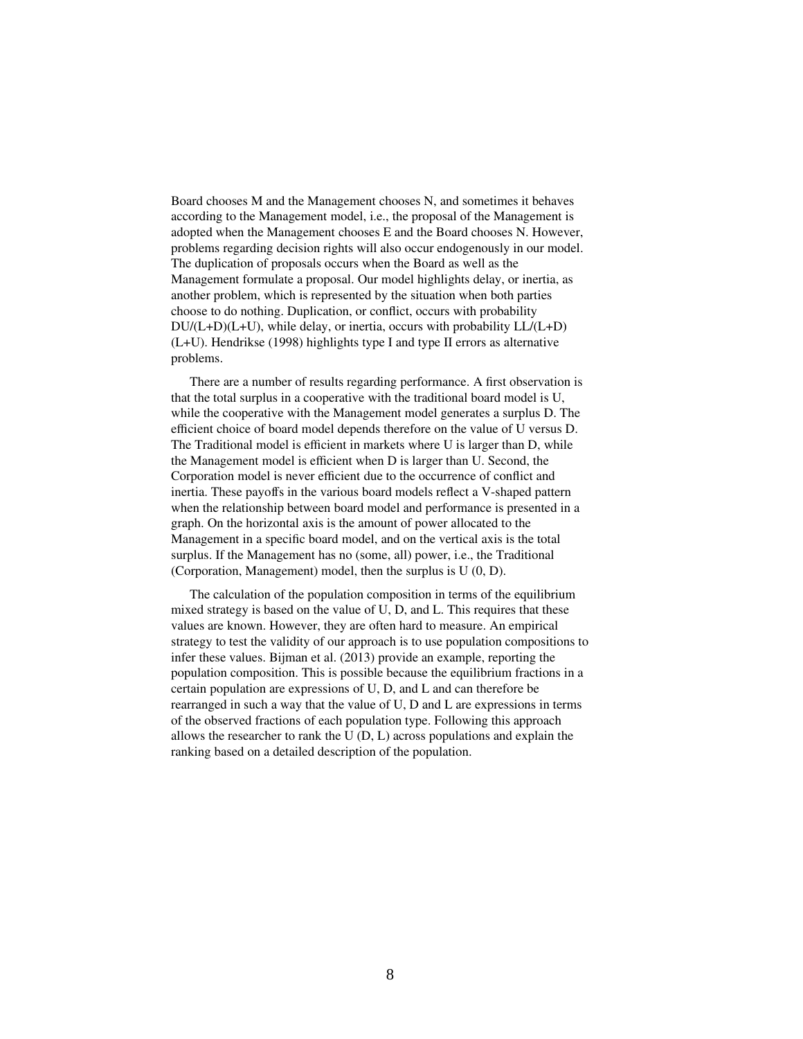Board chooses M and the Management chooses N, and sometimes it behaves according to the Management model, i.e., the proposal of the Management is adopted when the Management chooses E and the Board chooses N. However, problems regarding decision rights will also occur endogenously in our model. The duplication of proposals occurs when the Board as well as the Management formulate a proposal. Our model highlights delay, or inertia, as another problem, which is represented by the situation when both parties choose to do nothing. Duplication, or conflict, occurs with probability  $DU/(L+D)(L+U)$ , while delay, or inertia, occurs with probability  $LL/(L+D)$ (L+U). Hendrikse (1998) highlights type I and type II errors as alternative problems.

There are a number of results regarding performance. A first observation is that the total surplus in a cooperative with the traditional board model is U, while the cooperative with the Management model generates a surplus D. The efficient choice of board model depends therefore on the value of U versus D. The Traditional model is efficient in markets where U is larger than D, while the Management model is efficient when D is larger than U. Second, the Corporation model is never efficient due to the occurrence of conflict and inertia. These payoffs in the various board models reflect a V-shaped pattern when the relationship between board model and performance is presented in a graph. On the horizontal axis is the amount of power allocated to the Management in a specific board model, and on the vertical axis is the total surplus. If the Management has no (some, all) power, i.e., the Traditional (Corporation, Management) model, then the surplus is U (0, D).

The calculation of the population composition in terms of the equilibrium mixed strategy is based on the value of U, D, and L. This requires that these values are known. However, they are often hard to measure. An empirical strategy to test the validity of our approach is to use population compositions to infer these values. Bijman et al. (2013) provide an example, reporting the population composition. This is possible because the equilibrium fractions in a certain population are expressions of U, D, and L and can therefore be rearranged in such a way that the value of U, D and L are expressions in terms of the observed fractions of each population type. Following this approach allows the researcher to rank the U (D, L) across populations and explain the ranking based on a detailed description of the population.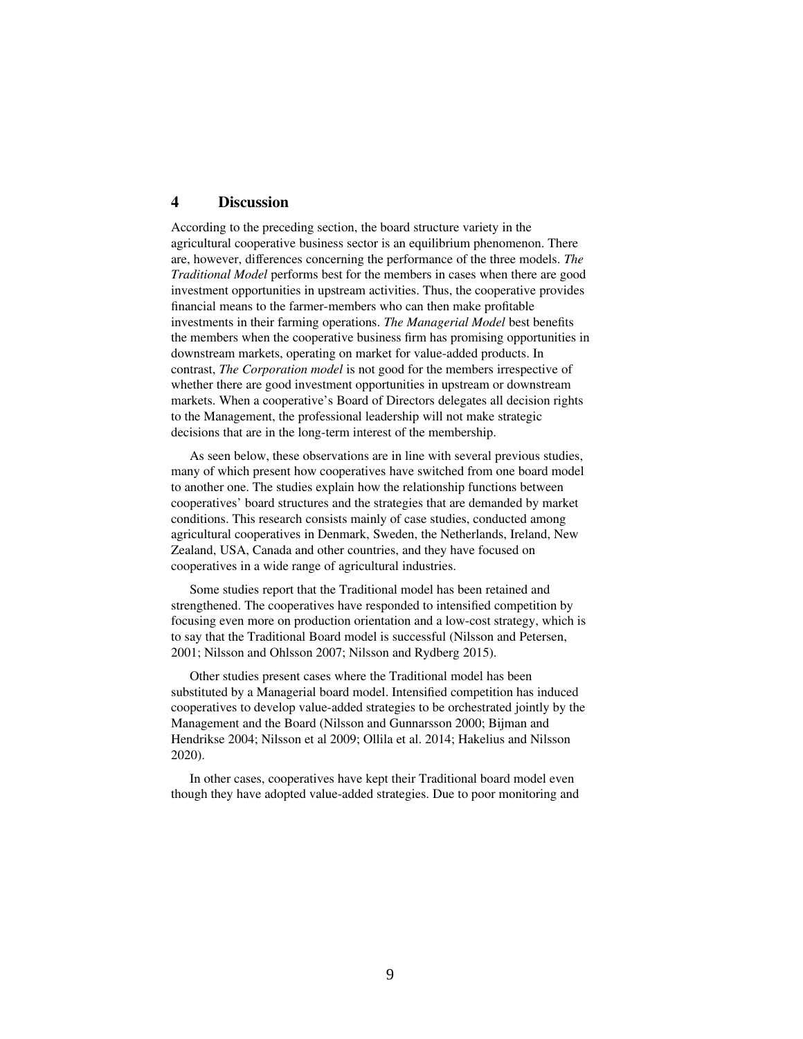# **4 Discussion**

According to the preceding section, the board structure variety in the agricultural cooperative business sector is an equilibrium phenomenon. There are, however, differences concerning the performance of the three models. *The Traditional Model* performs best for the members in cases when there are good investment opportunities in upstream activities. Thus, the cooperative provides financial means to the farmer-members who can then make profitable investments in their farming operations. *The Managerial Model* best benefits the members when the cooperative business firm has promising opportunities in downstream markets, operating on market for value-added products. In contrast, *The Corporation model* is not good for the members irrespective of whether there are good investment opportunities in upstream or downstream markets. When a cooperative's Board of Directors delegates all decision rights to the Management, the professional leadership will not make strategic decisions that are in the long-term interest of the membership.

As seen below, these observations are in line with several previous studies, many of which present how cooperatives have switched from one board model to another one. The studies explain how the relationship functions between cooperatives' board structures and the strategies that are demanded by market conditions. This research consists mainly of case studies, conducted among agricultural cooperatives in Denmark, Sweden, the Netherlands, Ireland, New Zealand, USA, Canada and other countries, and they have focused on cooperatives in a wide range of agricultural industries.

Some studies report that the Traditional model has been retained and strengthened. The cooperatives have responded to intensified competition by focusing even more on production orientation and a low-cost strategy, which is to say that the Traditional Board model is successful (Nilsson and Petersen, 2001; Nilsson and Ohlsson 2007; Nilsson and Rydberg 2015).

Other studies present cases where the Traditional model has been substituted by a Managerial board model. Intensified competition has induced cooperatives to develop value-added strategies to be orchestrated jointly by the Management and the Board (Nilsson and Gunnarsson 2000; Bijman and Hendrikse 2004; Nilsson et al 2009; Ollila et al. 2014; Hakelius and Nilsson 2020).

In other cases, cooperatives have kept their Traditional board model even though they have adopted value-added strategies. Due to poor monitoring and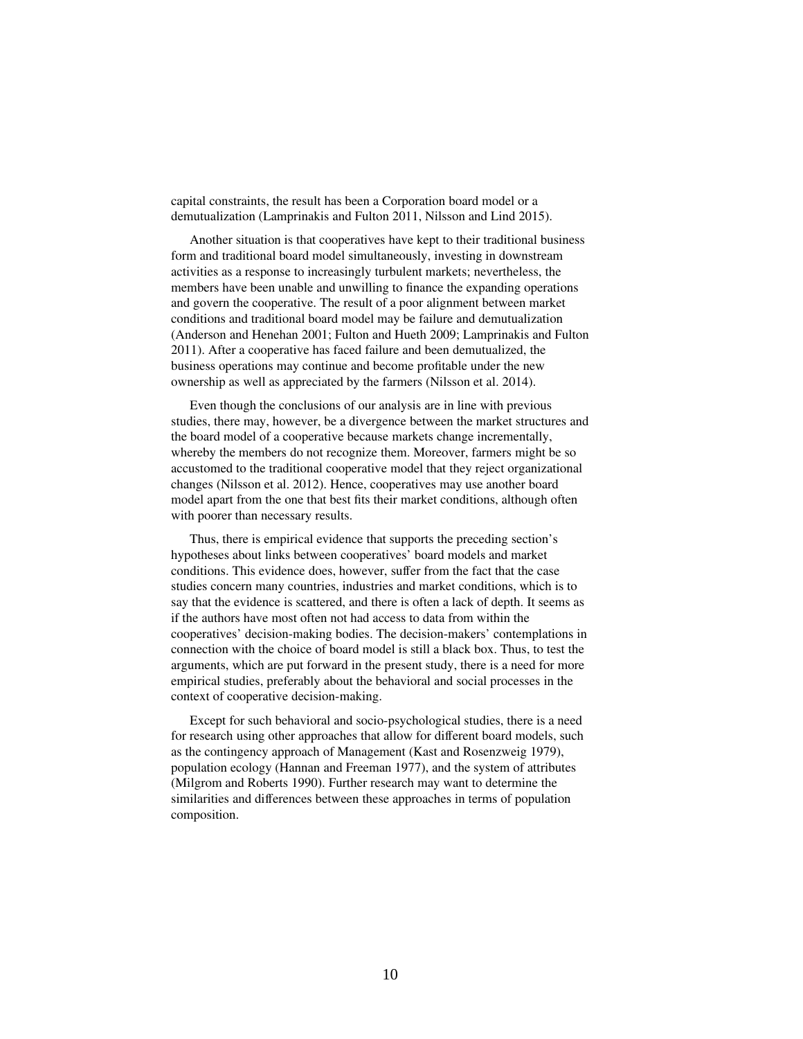capital constraints, the result has been a Corporation board model or a demutualization (Lamprinakis and Fulton 2011, Nilsson and Lind 2015).

Another situation is that cooperatives have kept to their traditional business form and traditional board model simultaneously, investing in downstream activities as a response to increasingly turbulent markets; nevertheless, the members have been unable and unwilling to finance the expanding operations and govern the cooperative. The result of a poor alignment between market conditions and traditional board model may be failure and demutualization (Anderson and Henehan 2001; Fulton and Hueth 2009; Lamprinakis and Fulton 2011). After a cooperative has faced failure and been demutualized, the business operations may continue and become profitable under the new ownership as well as appreciated by the farmers (Nilsson et al. 2014).

Even though the conclusions of our analysis are in line with previous studies, there may, however, be a divergence between the market structures and the board model of a cooperative because markets change incrementally, whereby the members do not recognize them. Moreover, farmers might be so accustomed to the traditional cooperative model that they reject organizational changes (Nilsson et al. 2012). Hence, cooperatives may use another board model apart from the one that best fits their market conditions, although often with poorer than necessary results.

Thus, there is empirical evidence that supports the preceding section's hypotheses about links between cooperatives' board models and market conditions. This evidence does, however, suffer from the fact that the case studies concern many countries, industries and market conditions, which is to say that the evidence is scattered, and there is often a lack of depth. It seems as if the authors have most often not had access to data from within the cooperatives' decision-making bodies. The decision-makers' contemplations in connection with the choice of board model is still a black box. Thus, to test the arguments, which are put forward in the present study, there is a need for more empirical studies, preferably about the behavioral and social processes in the context of cooperative decision-making.

Except for such behavioral and socio-psychological studies, there is a need for research using other approaches that allow for different board models, such as the contingency approach of Management (Kast and Rosenzweig 1979), population ecology (Hannan and Freeman 1977), and the system of attributes (Milgrom and Roberts 1990). Further research may want to determine the similarities and differences between these approaches in terms of population composition.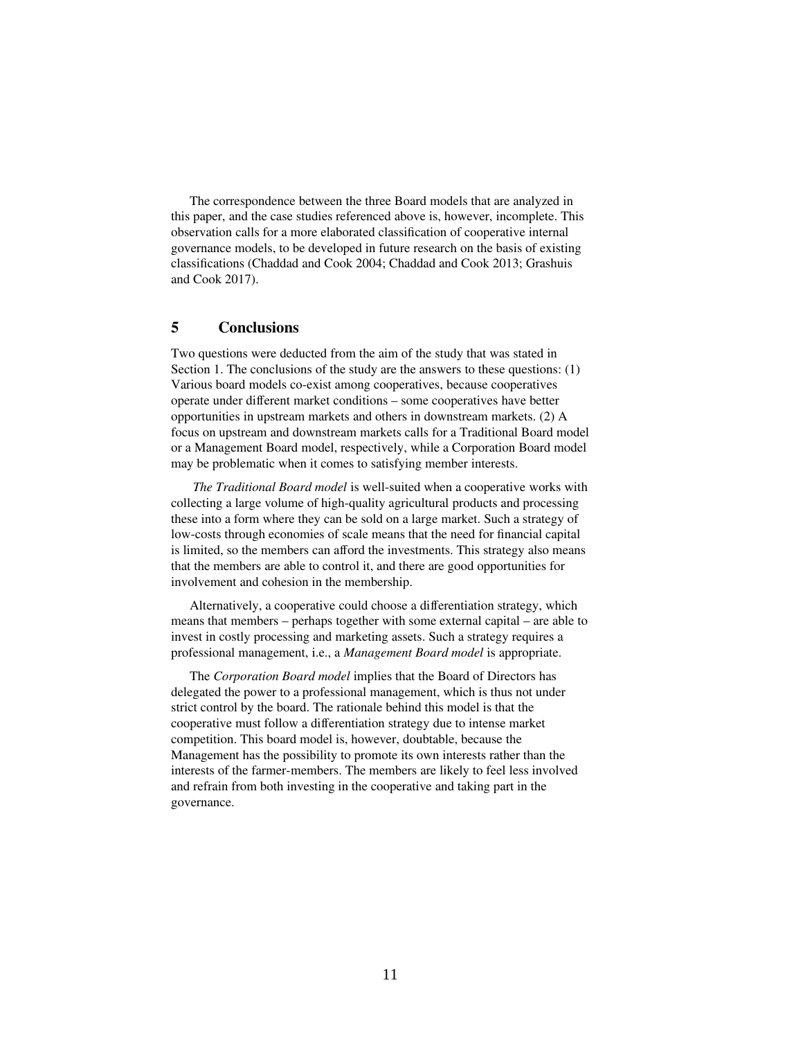The correspondence between the three Board models that are analyzed in this paper, and the case studies referenced above is, however, incomplete. This observation calls for a more elaborated classification of cooperative internal governance models, to be developed in future research on the basis of existing classifications (Chaddad and Cook 2004; Chaddad and Cook 2013; Grashuis and Cook 2017).

# **5 Conclusions**

Two questions were deducted from the aim of the study that was stated in Section 1. The conclusions of the study are the answers to these questions: (1) Various board models co-exist among cooperatives, because cooperatives operate under different market conditions – some cooperatives have better opportunities in upstream markets and others in downstream markets. (2) A focus on upstream and downstream markets calls for a Traditional Board model or a Management Board model, respectively, while a Corporation Board model may be problematic when it comes to satisfying member interests.

*The Traditional Board model* is well-suited when a cooperative works with collecting a large volume of high-quality agricultural products and processing these into a form where they can be sold on a large market. Such a strategy of low-costs through economies of scale means that the need for financial capital is limited, so the members can afford the investments. This strategy also means that the members are able to control it, and there are good opportunities for involvement and cohesion in the membership.

Alternatively, a cooperative could choose a differentiation strategy, which means that members – perhaps together with some external capital – are able to invest in costly processing and marketing assets. Such a strategy requires a professional management, i.e., a *Management Board model* is appropriate.

The *Corporation Board model* implies that the Board of Directors has delegated the power to a professional management, which is thus not under strict control by the board. The rationale behind this model is that the cooperative must follow a differentiation strategy due to intense market competition. This board model is, however, doubtable, because the Management has the possibility to promote its own interests rather than the interests of the farmer-members. The members are likely to feel less involved and refrain from both investing in the cooperative and taking part in the governance.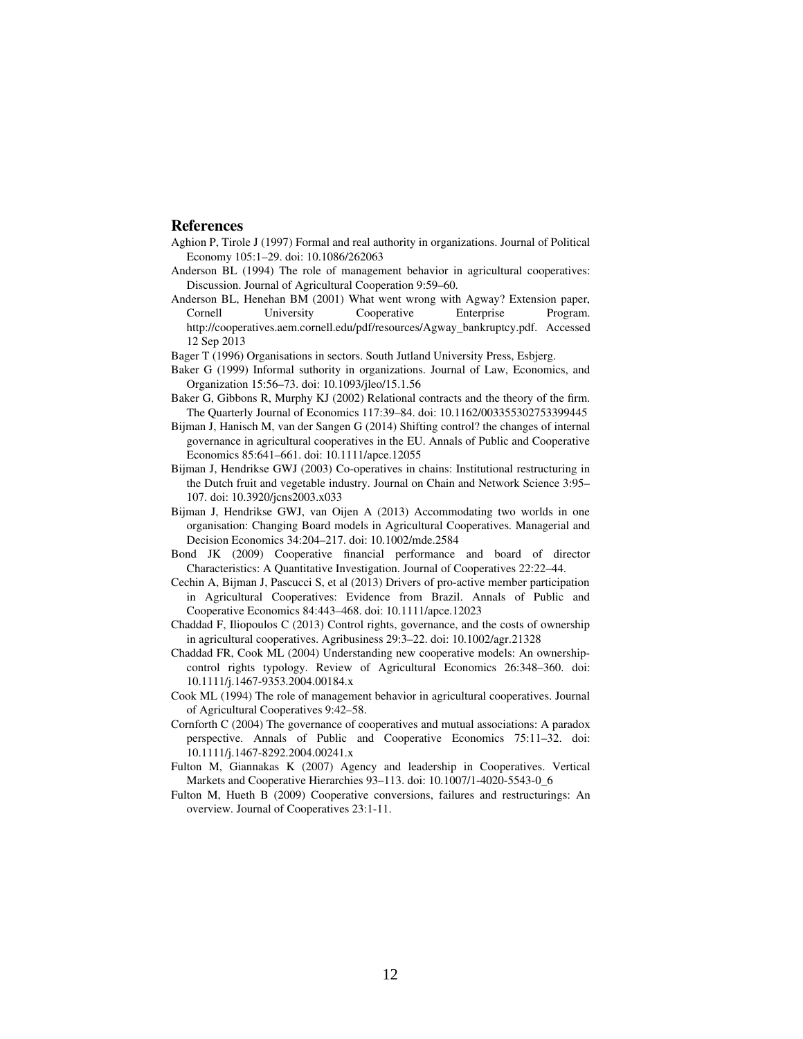#### **References**

- Aghion P, Tirole J (1997) Formal and real authority in organizations. Journal of Political Economy 105:1–29. doi: 10.1086/262063
- Anderson BL (1994) The role of management behavior in agricultural cooperatives: Discussion. Journal of Agricultural Cooperation 9:59–60.
- Anderson BL, Henehan BM (2001) What went wrong with Agway? Extension paper, University Cooperative Enterprise Program. http://cooperatives.aem.cornell.edu/pdf/resources/Agway\_bankruptcy.pdf. Accessed 12 Sep 2013
- Bager T (1996) Organisations in sectors. South Jutland University Press, Esbjerg.
- Baker G (1999) Informal suthority in organizations. Journal of Law, Economics, and Organization 15:56–73. doi: 10.1093/jleo/15.1.56
- Baker G, Gibbons R, Murphy KJ (2002) Relational contracts and the theory of the firm. The Quarterly Journal of Economics 117:39–84. doi: 10.1162/003355302753399445
- Bijman J, Hanisch M, van der Sangen G (2014) Shifting control? the changes of internal governance in agricultural cooperatives in the EU. Annals of Public and Cooperative Economics 85:641–661. doi: 10.1111/apce.12055
- Bijman J, Hendrikse GWJ (2003) Co-operatives in chains: Institutional restructuring in the Dutch fruit and vegetable industry. Journal on Chain and Network Science 3:95– 107. doi: 10.3920/jcns2003.x033
- Bijman J, Hendrikse GWJ, van Oijen A (2013) Accommodating two worlds in one organisation: Changing Board models in Agricultural Cooperatives. Managerial and Decision Economics 34:204–217. doi: 10.1002/mde.2584
- Bond JK (2009) Cooperative financial performance and board of director Characteristics: A Quantitative Investigation. Journal of Cooperatives 22:22–44.
- Cechin A, Bijman J, Pascucci S, et al (2013) Drivers of pro-active member participation in Agricultural Cooperatives: Evidence from Brazil. Annals of Public and Cooperative Economics 84:443–468. doi: 10.1111/apce.12023
- Chaddad F, Iliopoulos C (2013) Control rights, governance, and the costs of ownership in agricultural cooperatives. Agribusiness 29:3–22. doi: 10.1002/agr.21328
- Chaddad FR, Cook ML (2004) Understanding new cooperative models: An ownershipcontrol rights typology. Review of Agricultural Economics 26:348–360. doi: 10.1111/j.1467-9353.2004.00184.x
- Cook ML (1994) The role of management behavior in agricultural cooperatives. Journal of Agricultural Cooperatives 9:42–58.
- Cornforth C (2004) The governance of cooperatives and mutual associations: A paradox perspective. Annals of Public and Cooperative Economics 75:11–32. doi: 10.1111/j.1467-8292.2004.00241.x
- Fulton M, Giannakas K (2007) Agency and leadership in Cooperatives. Vertical Markets and Cooperative Hierarchies 93–113. doi: 10.1007/1-4020-5543-0\_6
- Fulton M, Hueth B (2009) Cooperative conversions, failures and restructurings: An overview. Journal of Cooperatives 23:1-11.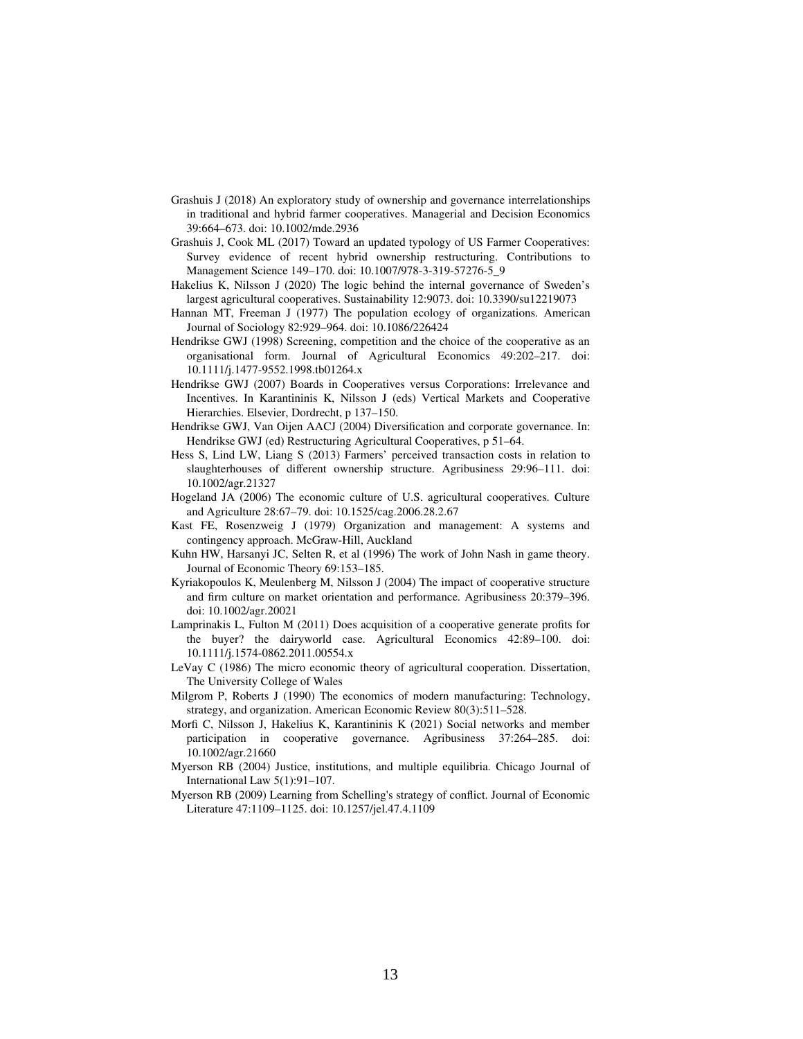- Grashuis J (2018) An exploratory study of ownership and governance interrelationships in traditional and hybrid farmer cooperatives. Managerial and Decision Economics 39:664–673. doi: 10.1002/mde.2936
- Grashuis J, Cook ML (2017) Toward an updated typology of US Farmer Cooperatives: Survey evidence of recent hybrid ownership restructuring. Contributions to Management Science 149–170. doi: 10.1007/978-3-319-57276-5\_9
- Hakelius K, Nilsson J (2020) The logic behind the internal governance of Sweden's largest agricultural cooperatives. Sustainability 12:9073. doi: 10.3390/su12219073
- Hannan MT, Freeman J (1977) The population ecology of organizations. American Journal of Sociology 82:929–964. doi: 10.1086/226424
- Hendrikse GWJ (1998) Screening, competition and the choice of the cooperative as an organisational form. Journal of Agricultural Economics 49:202–217. doi: 10.1111/j.1477-9552.1998.tb01264.x
- Hendrikse GWJ (2007) Boards in Cooperatives versus Corporations: Irrelevance and Incentives. In Karantininis K, Nilsson J (eds) Vertical Markets and Cooperative Hierarchies. Elsevier, Dordrecht, p 137–150.
- Hendrikse GWJ, Van Oijen AACJ (2004) Diversification and corporate governance. In: Hendrikse GWJ (ed) Restructuring Agricultural Cooperatives, p 51–64.
- Hess S, Lind LW, Liang S (2013) Farmers' perceived transaction costs in relation to slaughterhouses of different ownership structure. Agribusiness 29:96–111. doi: 10.1002/agr.21327
- Hogeland JA (2006) The economic culture of U.S. agricultural cooperatives. Culture and Agriculture 28:67–79. doi: 10.1525/cag.2006.28.2.67
- Kast FE, Rosenzweig J (1979) Organization and management: A systems and contingency approach. McGraw-Hill, Auckland
- Kuhn HW, Harsanyi JC, Selten R, et al (1996) The work of John Nash in game theory. Journal of Economic Theory 69:153–185.
- Kyriakopoulos K, Meulenberg M, Nilsson J (2004) The impact of cooperative structure and firm culture on market orientation and performance. Agribusiness 20:379–396. doi: 10.1002/agr.20021
- Lamprinakis L, Fulton M (2011) Does acquisition of a cooperative generate profits for the buyer? the dairyworld case. Agricultural Economics 42:89–100. doi: 10.1111/j.1574-0862.2011.00554.x
- LeVay C (1986) The micro economic theory of agricultural cooperation. Dissertation, The University College of Wales
- Milgrom P, Roberts J (1990) The economics of modern manufacturing: Technology, strategy, and organization. American Economic Review 80(3):511–528.
- Morfi C, Nilsson J, Hakelius K, Karantininis K (2021) Social networks and member participation in cooperative governance. Agribusiness 37:264–285. doi: 10.1002/agr.21660
- Myerson RB (2004) Justice, institutions, and multiple equilibria. Chicago Journal of International Law 5(1):91–107.
- Myerson RB (2009) Learning from Schelling's strategy of conflict. Journal of Economic Literature 47:1109–1125. doi: 10.1257/jel.47.4.1109